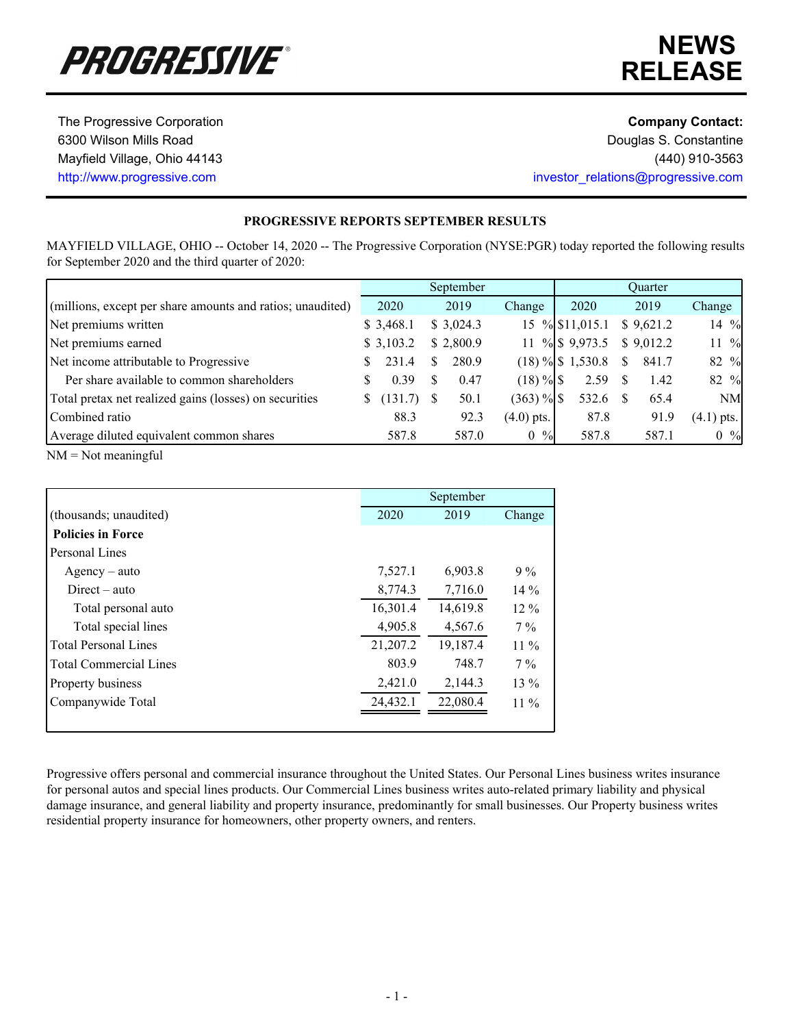

# **NEWS RELEASE**

The Progressive Corporation **Company Contact: Company Contact:** 

6300 Wilson Mills Road **Douglas S. Constantine** Mayfield Village, Ohio 44143 (440) 910-3563 http://www.progressive.com investor\_relations@progressive.com

## **PROGRESSIVE REPORTS SEPTEMBER RESULTS**

MAYFIELD VILLAGE, OHIO -- October 14, 2020 -- The Progressive Corporation (NYSE:PGR) today reported the following results for September 2020 and the third quarter of 2020:

|                                                            |   |           |    | September |                                 |                      |               | Ouarter   |                  |
|------------------------------------------------------------|---|-----------|----|-----------|---------------------------------|----------------------|---------------|-----------|------------------|
| (millions, except per share amounts and ratios; unaudited) |   | 2020      |    | 2019      | Change                          | 2020                 |               | 2019      | Change           |
| Net premiums written                                       |   | \$3,468.1 |    | \$3,024.3 |                                 | 15 % \$11,015.1      |               | \$9,621.2 | 14 %             |
| Net premiums earned                                        |   | \$3,103.2 |    | \$2,800.9 | 11                              | $\%$ \$ 9,973.5      |               | \$9,012.2 | $11 \frac{9}{6}$ |
| Net income attributable to Progressive                     |   | 231.4     | S. | 280.9     |                                 | $(18) \%$ \$ 1,530.8 | <sup>\$</sup> | 841.7     | 82 %             |
| Per share available to common shareholders                 |   | 0.39      | S  | 0.47      | $(18) \%$                       | 2.59                 | - \$          | 1.42      | 82 %             |
| Total pretax net realized gains (losses) on securities     | S | (131.7)   |    | 50.1      | $(363)$ % $\$\$                 | 532.6                |               | 65.4      | <b>NM</b>        |
| Combined ratio                                             |   | 88.3      |    | 92.3      | $(4.0)$ pts.                    | 87.8                 |               | 91.9      | $(4.1)$ pts.     |
| Average diluted equivalent common shares                   |   | 587.8     |    | 587.0     | $^{0}\!/_{0}$<br>$\overline{0}$ | 587.8                |               | 587.1     | $0 \frac{9}{6}$  |

NM = Not meaningful

|                               |          | September |        |
|-------------------------------|----------|-----------|--------|
| (thousands; unaudited)        | 2020     | 2019      | Change |
| <b>Policies in Force</b>      |          |           |        |
| Personal Lines                |          |           |        |
| $A$ gency – auto              | 7,527.1  | 6,903.8   | $9\%$  |
| $Direct - auto$               | 8,774.3  | 7,716.0   | $14\%$ |
| Total personal auto           | 16,301.4 | 14,619.8  | $12\%$ |
| Total special lines           | 4,905.8  | 4,567.6   | $7\%$  |
| Total Personal Lines          | 21,207.2 | 19,187.4  | $11\%$ |
| <b>Total Commercial Lines</b> | 803.9    | 748.7     | $7\%$  |
| Property business             | 2,421.0  | 2,144.3   | $13\%$ |
| Companywide Total             | 24,432.1 | 22,080.4  | $11\%$ |
|                               |          |           |        |

Progressive offers personal and commercial insurance throughout the United States. Our Personal Lines business writes insurance for personal autos and special lines products. Our Commercial Lines business writes auto-related primary liability and physical damage insurance, and general liability and property insurance, predominantly for small businesses. Our Property business writes residential property insurance for homeowners, other property owners, and renters.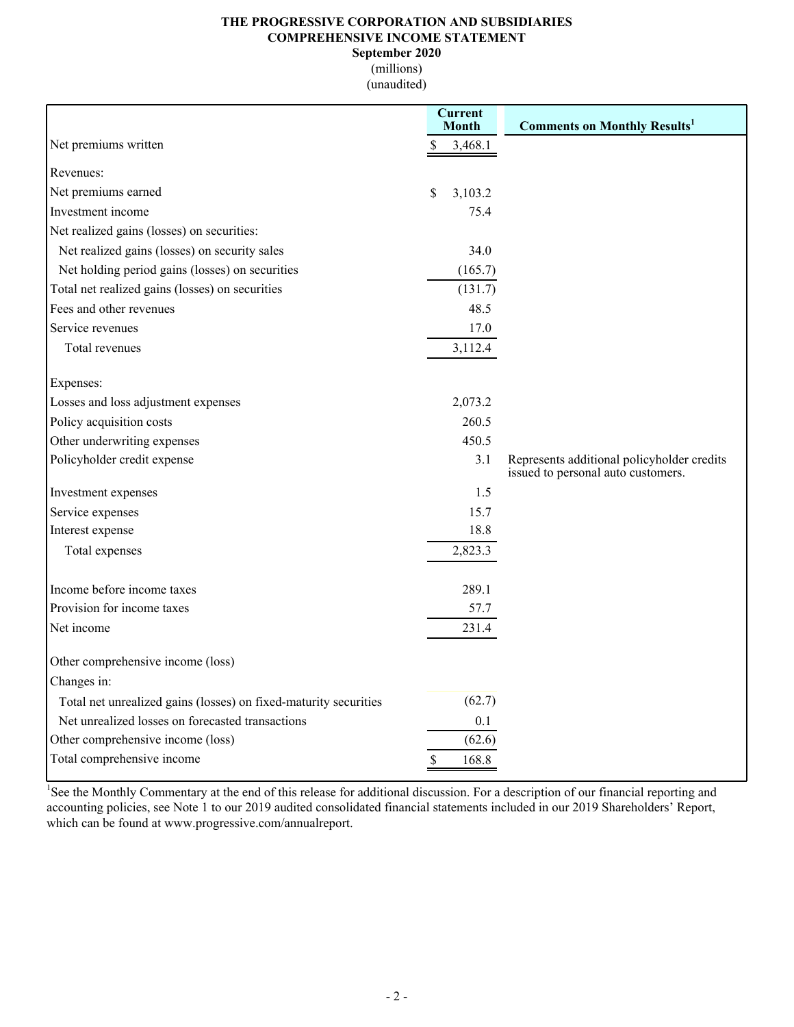### **THE PROGRESSIVE CORPORATION AND SUBSIDIARIES COMPREHENSIVE INCOME STATEMENT**

**September 2020**

(millions) (unaudited)

|                                                                  | Current<br><b>Month</b> |         | <b>Comments on Monthly Results1</b>        |
|------------------------------------------------------------------|-------------------------|---------|--------------------------------------------|
| Net premiums written                                             |                         | 3,468.1 |                                            |
| Revenues:                                                        |                         |         |                                            |
| Net premiums earned                                              | \$                      | 3,103.2 |                                            |
| Investment income                                                |                         | 75.4    |                                            |
| Net realized gains (losses) on securities:                       |                         |         |                                            |
| Net realized gains (losses) on security sales                    |                         | 34.0    |                                            |
| Net holding period gains (losses) on securities                  |                         | (165.7) |                                            |
| Total net realized gains (losses) on securities                  |                         | (131.7) |                                            |
| Fees and other revenues                                          |                         | 48.5    |                                            |
| Service revenues                                                 |                         | 17.0    |                                            |
| Total revenues                                                   |                         | 3,112.4 |                                            |
| Expenses:                                                        |                         |         |                                            |
| Losses and loss adjustment expenses                              |                         | 2,073.2 |                                            |
| Policy acquisition costs                                         |                         | 260.5   |                                            |
| Other underwriting expenses                                      |                         | 450.5   |                                            |
| Policyholder credit expense                                      |                         | 3.1     | Represents additional policyholder credits |
| Investment expenses                                              |                         | 1.5     | issued to personal auto customers.         |
| Service expenses                                                 |                         | 15.7    |                                            |
| Interest expense                                                 |                         | 18.8    |                                            |
| Total expenses                                                   |                         | 2,823.3 |                                            |
|                                                                  |                         |         |                                            |
| Income before income taxes                                       |                         | 289.1   |                                            |
| Provision for income taxes                                       |                         | 57.7    |                                            |
| Net income                                                       |                         | 231.4   |                                            |
| Other comprehensive income (loss)                                |                         |         |                                            |
| Changes in:                                                      |                         |         |                                            |
| Total net unrealized gains (losses) on fixed-maturity securities |                         | (62.7)  |                                            |
| Net unrealized losses on forecasted transactions                 |                         | 0.1     |                                            |
| Other comprehensive income (loss)                                |                         | (62.6)  |                                            |
| Total comprehensive income                                       |                         | 168.8   |                                            |

<sup>1</sup>See the Monthly Commentary at the end of this release for additional discussion. For a description of our financial reporting and accounting policies, see Note 1 to our 2019 audited consolidated financial statements included in our 2019 Shareholders' Report, which can be found at www.progressive.com/annualreport.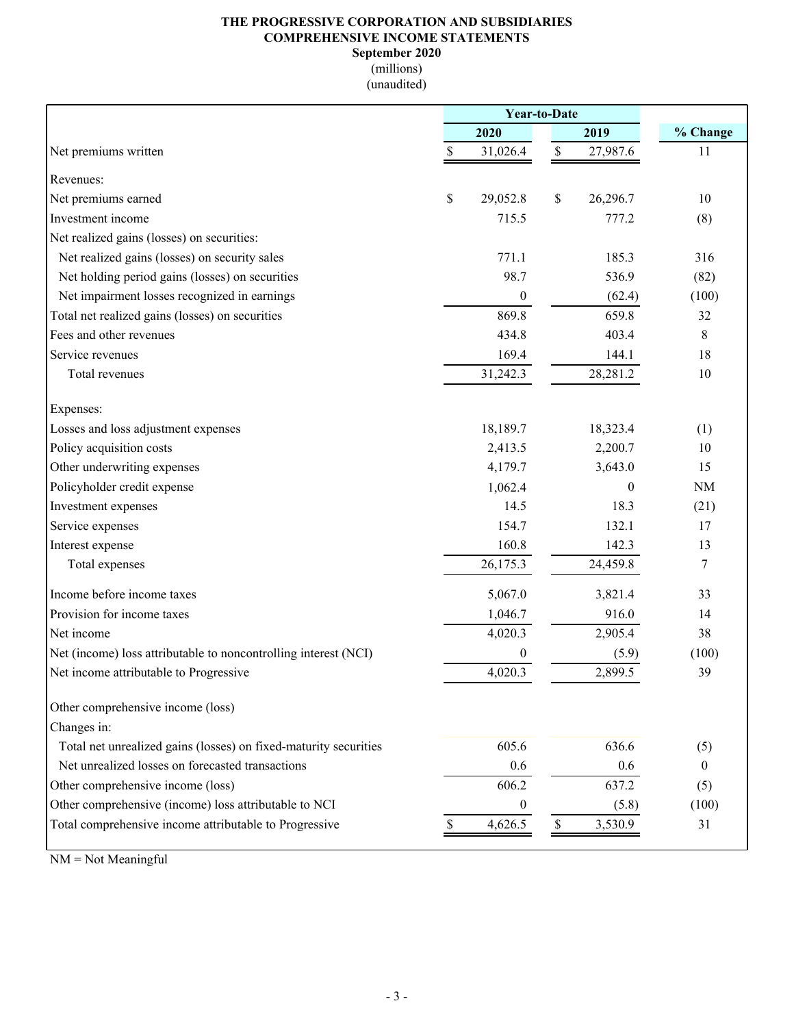## **THE PROGRESSIVE CORPORATION AND SUBSIDIARIES COMPREHENSIVE INCOME STATEMENTS September 2020**

(millions)

(unaudited)

|                                                                  | <b>Year-to-Date</b> |                           |          |                |
|------------------------------------------------------------------|---------------------|---------------------------|----------|----------------|
|                                                                  | 2020                |                           | 2019     | % Change       |
| Net premiums written                                             | \$<br>31,026.4      | $\$$                      | 27,987.6 | 11             |
| Revenues:                                                        |                     |                           |          |                |
| Net premiums earned                                              | \$<br>29,052.8      | $\$$                      | 26,296.7 | 10             |
| Investment income                                                | 715.5               |                           | 777.2    | (8)            |
| Net realized gains (losses) on securities:                       |                     |                           |          |                |
| Net realized gains (losses) on security sales                    | 771.1               |                           | 185.3    | 316            |
| Net holding period gains (losses) on securities                  | 98.7                |                           | 536.9    | (82)           |
| Net impairment losses recognized in earnings                     | $\boldsymbol{0}$    |                           | (62.4)   | (100)          |
| Total net realized gains (losses) on securities                  | 869.8               |                           | 659.8    | 32             |
| Fees and other revenues                                          | 434.8               |                           | 403.4    | $\,$ 8 $\,$    |
| Service revenues                                                 | 169.4               |                           | 144.1    | 18             |
| Total revenues                                                   | 31,242.3            |                           | 28,281.2 | 10             |
| Expenses:                                                        |                     |                           |          |                |
| Losses and loss adjustment expenses                              | 18,189.7            |                           | 18,323.4 | (1)            |
| Policy acquisition costs                                         | 2,413.5             |                           | 2,200.7  | 10             |
| Other underwriting expenses                                      | 4,179.7             |                           | 3,643.0  | 15             |
| Policyholder credit expense                                      | 1,062.4             |                           | $\theta$ | <b>NM</b>      |
| Investment expenses                                              | 14.5                |                           | 18.3     | (21)           |
| Service expenses                                                 | 154.7               |                           | 132.1    | 17             |
| Interest expense                                                 | 160.8               |                           | 142.3    | 13             |
| Total expenses                                                   | 26,175.3            |                           | 24,459.8 | 7              |
| Income before income taxes                                       | 5,067.0             |                           | 3,821.4  | 33             |
| Provision for income taxes                                       | 1,046.7             |                           | 916.0    | 14             |
| Net income                                                       | 4,020.3             |                           | 2,905.4  | 38             |
| Net (income) loss attributable to noncontrolling interest (NCI)  | $\mathbf{0}$        |                           | (5.9)    | (100)          |
| Net income attributable to Progressive                           | 4,020.3             |                           | 2,899.5  | 39             |
| Other comprehensive income (loss)                                |                     |                           |          |                |
| Changes in:                                                      |                     |                           |          |                |
| Total net unrealized gains (losses) on fixed-maturity securities | 605.6               |                           | 636.6    | (5)            |
| Net unrealized losses on forecasted transactions                 | 0.6                 |                           | 0.6      | $\overline{0}$ |
| Other comprehensive income (loss)                                | 606.2               |                           | 637.2    | (5)            |
| Other comprehensive (income) loss attributable to NCI            | $\boldsymbol{0}$    |                           | (5.8)    | (100)          |
| Total comprehensive income attributable to Progressive           | \$<br>4,626.5       | $\boldsymbol{\mathsf{S}}$ | 3,530.9  | 31             |

 $NM = Not Meaningful$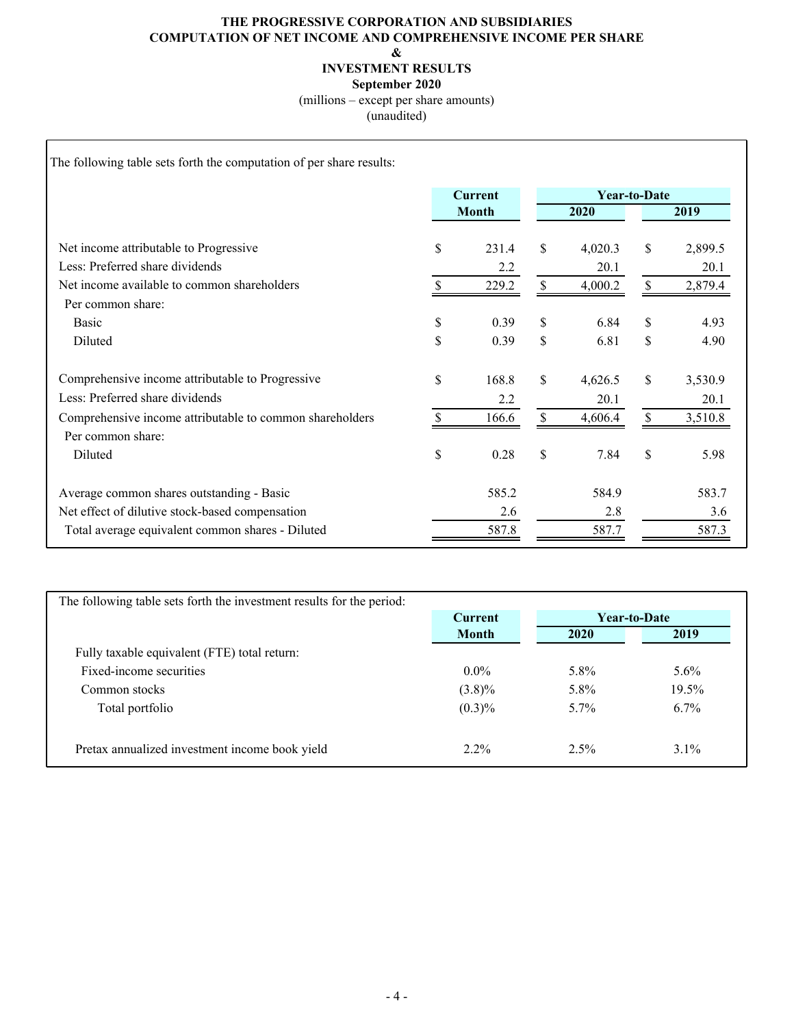## **THE PROGRESSIVE CORPORATION AND SUBSIDIARIES COMPUTATION OF NET INCOME AND COMPREHENSIVE INCOME PER SHARE**

**&**

**INVESTMENT RESULTS**

**September 2020**

(millions – except per share amounts)

(unaudited)

The following table sets forth the computation of per share results:

|                                                          |              | <b>Current</b> |    | <b>Year-to-Date</b> |               |         |  |  |  |  |  |
|----------------------------------------------------------|--------------|----------------|----|---------------------|---------------|---------|--|--|--|--|--|
|                                                          | <b>Month</b> |                |    | 2020                | 2019          |         |  |  |  |  |  |
|                                                          |              |                |    |                     |               |         |  |  |  |  |  |
| Net income attributable to Progressive                   | \$           | 231.4          | \$ | 4,020.3             | $\mathcal{S}$ | 2,899.5 |  |  |  |  |  |
| Less: Preferred share dividends                          |              | 2.2            |    | 20.1                |               | 20.1    |  |  |  |  |  |
| Net income available to common shareholders              | \$           | 229.2          | \$ | 4,000.2             | \$            | 2,879.4 |  |  |  |  |  |
| Per common share:                                        |              |                |    |                     |               |         |  |  |  |  |  |
| Basic                                                    | \$           | 0.39           | \$ | 6.84                | \$            | 4.93    |  |  |  |  |  |
| Diluted                                                  | \$           | 0.39           | \$ | 6.81                | \$            | 4.90    |  |  |  |  |  |
| Comprehensive income attributable to Progressive         | \$           | 168.8          | \$ | 4,626.5             | \$            | 3,530.9 |  |  |  |  |  |
| Less: Preferred share dividends                          |              | 2.2            |    | 20.1                |               | 20.1    |  |  |  |  |  |
| Comprehensive income attributable to common shareholders | S            | 166.6          | \$ | 4,606.4             | \$            | 3,510.8 |  |  |  |  |  |
| Per common share:                                        |              |                |    |                     |               |         |  |  |  |  |  |
| Diluted                                                  | \$           | 0.28           | \$ | 7.84                | \$            | 5.98    |  |  |  |  |  |
| Average common shares outstanding - Basic                |              | 585.2          |    | 584.9               |               | 583.7   |  |  |  |  |  |
| Net effect of dilutive stock-based compensation          |              | 2.6            |    | 2.8                 |               | 3.6     |  |  |  |  |  |
| Total average equivalent common shares - Diluted         |              | 587.8          |    | 587.7               |               | 587.3   |  |  |  |  |  |

| The following table sets forth the investment results for the period: |              |         |              |
|-----------------------------------------------------------------------|--------------|---------|--------------|
|                                                                       | Current      |         | Year-to-Date |
|                                                                       | <b>Month</b> | 2020    | 2019         |
| Fully taxable equivalent (FTE) total return:                          |              |         |              |
| Fixed-income securities                                               | $0.0\%$      | $5.8\%$ | $5.6\%$      |
| Common stocks                                                         | $(3.8)\%$    | 5.8%    | 19.5%        |
| Total portfolio                                                       | $(0.3)\%$    | $5.7\%$ | $6.7\%$      |
| Pretax annualized investment income book yield                        | $2.2\%$      | $2.5\%$ | $3.1\%$      |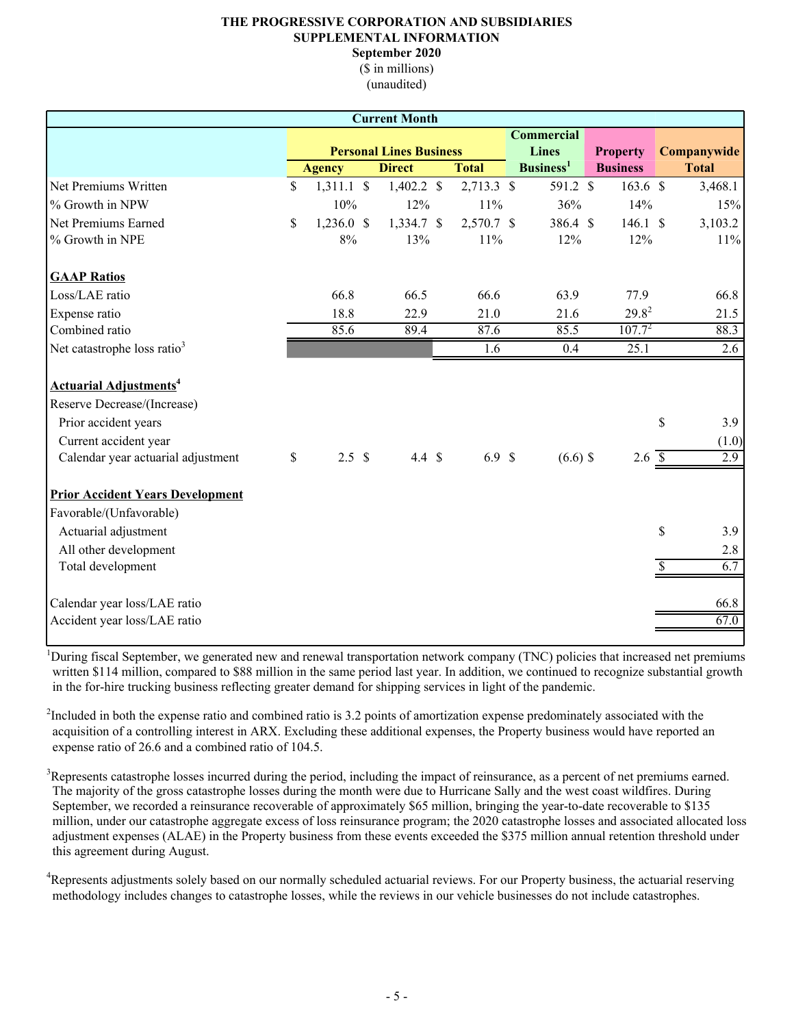# **THE PROGRESSIVE CORPORATION AND SUBSIDIARIES SUPPLEMENTAL INFORMATION**

**September 2020**

(\$ in millions) (unaudited)

|                                         |               |                   | <b>Current Month</b>           |                  |                       |                  |               |              |
|-----------------------------------------|---------------|-------------------|--------------------------------|------------------|-----------------------|------------------|---------------|--------------|
|                                         |               |                   |                                |                  | <b>Commercial</b>     |                  |               |              |
|                                         |               |                   | <b>Personal Lines Business</b> |                  | <b>Lines</b>          | <b>Property</b>  |               | Companywide  |
|                                         |               | <b>Agency</b>     | <b>Direct</b>                  | <b>Total</b>     | Business <sup>1</sup> | <b>Business</b>  |               | <b>Total</b> |
| Net Premiums Written                    | $\mathsf{\$}$ | $1,311.1$ \$      | $1,402.2$ \$                   | 2,713.3 \$       | 591.2 \$              | $163.6$ \$       |               | 3,468.1      |
| % Growth in NPW                         |               | 10%               | 12%                            | 11%              | 36%                   | 14%              |               | 15%          |
| Net Premiums Earned                     | \$            | $1,236.0$ \$      | 1,334.7 \$                     | 2,570.7 \$       | 386.4 \$              | 146.1 S          |               | 3,103.2      |
| % Growth in NPE                         |               | $8\%$             | 13%                            | 11%              | 12%                   | 12%              |               | 11%          |
| <b>GAAP Ratios</b>                      |               |                   |                                |                  |                       |                  |               |              |
| Loss/LAE ratio                          |               | 66.8              | 66.5                           | 66.6             | 63.9                  | 77.9             |               | 66.8         |
| Expense ratio                           |               | 18.8              | 22.9                           | 21.0             | 21.6                  | $29.8^{2}$       |               | 21.5         |
| Combined ratio                          |               | 85.6              | 89.4                           | 87.6             | 85.5                  | $107.7^{2}$      |               | 88.3         |
| Net catastrophe loss ratio <sup>3</sup> |               |                   |                                | 1.6              | 0.4                   | 25.1             |               | 2.6          |
| Actuarial Adjustments <sup>4</sup>      |               |                   |                                |                  |                       |                  |               |              |
| Reserve Decrease/(Increase)             |               |                   |                                |                  |                       |                  |               |              |
| Prior accident years                    |               |                   |                                |                  |                       |                  | \$            | 3.9          |
| Current accident year                   |               |                   |                                |                  |                       |                  |               | (1.0)        |
| Calendar year actuarial adjustment      | \$            | $2.5 \text{ }$ \$ | $4.4 \text{ } $$               | 6.9 <sup>°</sup> | $(6.6)$ \$            | 2.6 <sup>°</sup> |               | 2.9          |
| <b>Prior Accident Years Development</b> |               |                   |                                |                  |                       |                  |               |              |
| Favorable/(Unfavorable)                 |               |                   |                                |                  |                       |                  |               |              |
| Actuarial adjustment                    |               |                   |                                |                  |                       |                  | $\mathsf{\$}$ | 3.9          |
| All other development                   |               |                   |                                |                  |                       |                  |               | 2.8          |
| Total development                       |               |                   |                                |                  |                       |                  | S.            | 6.7          |
| Calendar year loss/LAE ratio            |               |                   |                                |                  |                       |                  |               | 66.8         |
| Accident year loss/LAE ratio            |               |                   |                                |                  |                       |                  |               | 67.0         |

<sup>1</sup>During fiscal September, we generated new and renewal transportation network company (TNC) policies that increased net premiums written \$114 million, compared to \$88 million in the same period last year. In addition, we continued to recognize substantial growth in the for-hire trucking business reflecting greater demand for shipping services in light of the pandemic.

 $2$ Included in both the expense ratio and combined ratio is 3.2 points of amortization expense predominately associated with the acquisition of a controlling interest in ARX. Excluding these additional expenses, the Property business would have reported an expense ratio of 26.6 and a combined ratio of 104.5.

<sup>3</sup>Represents catastrophe losses incurred during the period, including the impact of reinsurance, as a percent of net premiums earned. The majority of the gross catastrophe losses during the month were due to Hurricane Sally and the west coast wildfires. During September, we recorded a reinsurance recoverable of approximately \$65 million, bringing the year-to-date recoverable to \$135 million, under our catastrophe aggregate excess of loss reinsurance program; the 2020 catastrophe losses and associated allocated loss adjustment expenses (ALAE) in the Property business from these events exceeded the \$375 million annual retention threshold under this agreement during August.

<sup>4</sup>Represents adjustments solely based on our normally scheduled actuarial reviews. For our Property business, the actuarial reserving methodology includes changes to catastrophe losses, while the reviews in our vehicle businesses do not include catastrophes.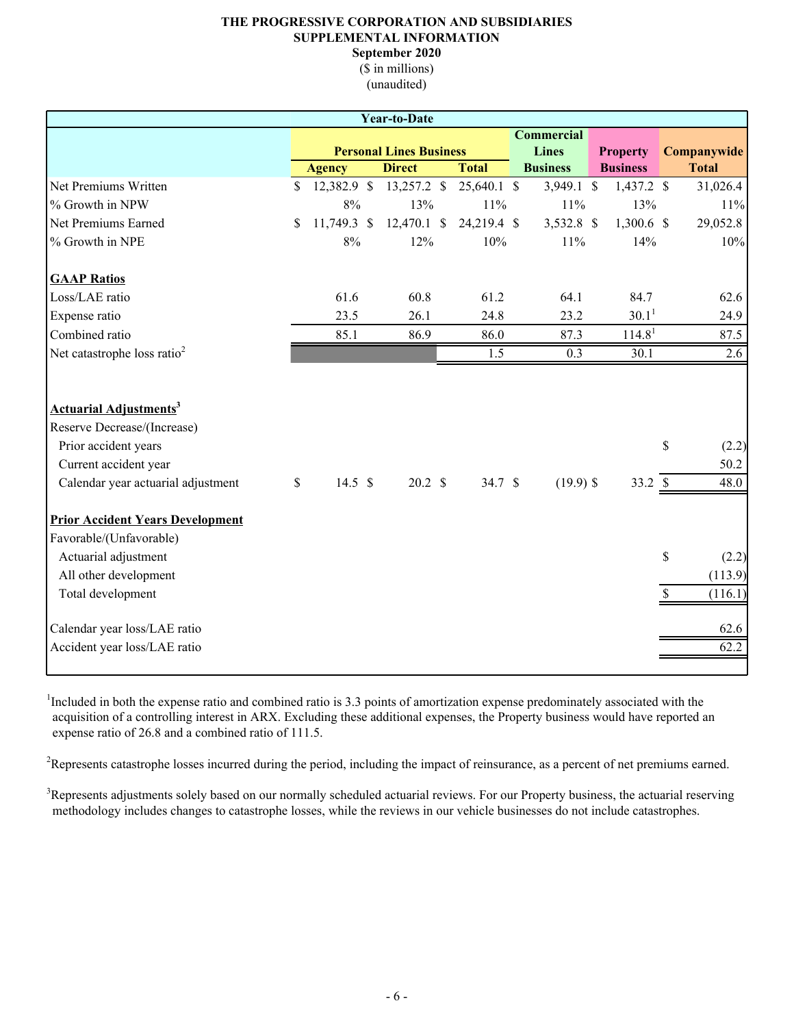# **THE PROGRESSIVE CORPORATION AND SUBSIDIARIES SUPPLEMENTAL INFORMATION**

**September 2020**

(\$ in millions) (unaudited)

|                                                                                                                                                                |               |               | <b>Year-to-Date</b>            |               |                   |                    |                    |                       |
|----------------------------------------------------------------------------------------------------------------------------------------------------------------|---------------|---------------|--------------------------------|---------------|-------------------|--------------------|--------------------|-----------------------|
|                                                                                                                                                                |               |               |                                |               | <b>Commercial</b> |                    |                    |                       |
|                                                                                                                                                                |               |               | <b>Personal Lines Business</b> |               | <b>Lines</b>      | <b>Property</b>    |                    | Companywide           |
|                                                                                                                                                                |               | <b>Agency</b> | <b>Direct</b>                  | <b>Total</b>  | <b>Business</b>   | <b>Business</b>    |                    | <b>Total</b>          |
| Net Premiums Written                                                                                                                                           | \$            | 12,382.9 \$   | 13,257.2 \$                    | $25,640.1$ \$ | 3,949.1 \$        | $1,437.2$ \$       |                    | 31,026.4              |
| % Growth in NPW                                                                                                                                                |               | 8%            | 13%                            | 11%           | 11%               | 13%                |                    | 11%                   |
| Net Premiums Earned                                                                                                                                            | \$            | 11,749.3 \$   | $12,470.1$ \$                  | 24,219.4 \$   | 3,532.8 \$        | $1,300.6$ \$       |                    | 29,052.8              |
| % Growth in NPE                                                                                                                                                |               | $8\%$         | 12%                            | 10%           | 11%               | 14%                |                    | 10%                   |
| <b>GAAP Ratios</b>                                                                                                                                             |               |               |                                |               |                   |                    |                    |                       |
| Loss/LAE ratio                                                                                                                                                 |               | 61.6          | 60.8                           | 61.2          | 64.1              | 84.7               |                    | 62.6                  |
| Expense ratio                                                                                                                                                  |               | 23.5          | 26.1                           | 24.8          | 23.2              | 30.1 <sup>1</sup>  |                    | 24.9                  |
| Combined ratio                                                                                                                                                 |               | 85.1          | 86.9                           | 86.0          | 87.3              | 114.8 <sup>1</sup> |                    | 87.5                  |
| Net catastrophe loss ratio <sup>2</sup>                                                                                                                        |               |               |                                | 1.5           | 0.3               | 30.1               |                    | 2.6                   |
| <b>Actuarial Adjustments<sup>3</sup></b><br>Reserve Decrease/(Increase)<br>Prior accident years<br>Current accident year<br>Calendar year actuarial adjustment | $\mathcal{S}$ | 14.5 $$$      | $20.2 \text{ }$ \$             | 34.7 \$       | $(19.9)$ \$       | 33.2 \$            | $\mathbf{\hat{S}}$ | (2.2)<br>50.2<br>48.0 |
| <b>Prior Accident Years Development</b>                                                                                                                        |               |               |                                |               |                   |                    |                    |                       |
| Favorable/(Unfavorable)                                                                                                                                        |               |               |                                |               |                   |                    |                    |                       |
| Actuarial adjustment                                                                                                                                           |               |               |                                |               |                   |                    | \$                 | (2.2)                 |
| All other development                                                                                                                                          |               |               |                                |               |                   |                    |                    | (113.9)               |
| Total development                                                                                                                                              |               |               |                                |               |                   |                    | \$.                | (116.1)               |
| Calendar year loss/LAE ratio                                                                                                                                   |               |               |                                |               |                   |                    |                    | 62.6                  |
| Accident year loss/LAE ratio                                                                                                                                   |               |               |                                |               |                   |                    |                    | 62.2                  |

<sup>1</sup>Included in both the expense ratio and combined ratio is 3.3 points of amortization expense predominately associated with the acquisition of a controlling interest in ARX. Excluding these additional expenses, the Property business would have reported an expense ratio of 26.8 and a combined ratio of 111.5.

<sup>2</sup>Represents catastrophe losses incurred during the period, including the impact of reinsurance, as a percent of net premiums earned.

<sup>3</sup>Represents adjustments solely based on our normally scheduled actuarial reviews. For our Property business, the actuarial reserving methodology includes changes to catastrophe losses, while the reviews in our vehicle businesses do not include catastrophes.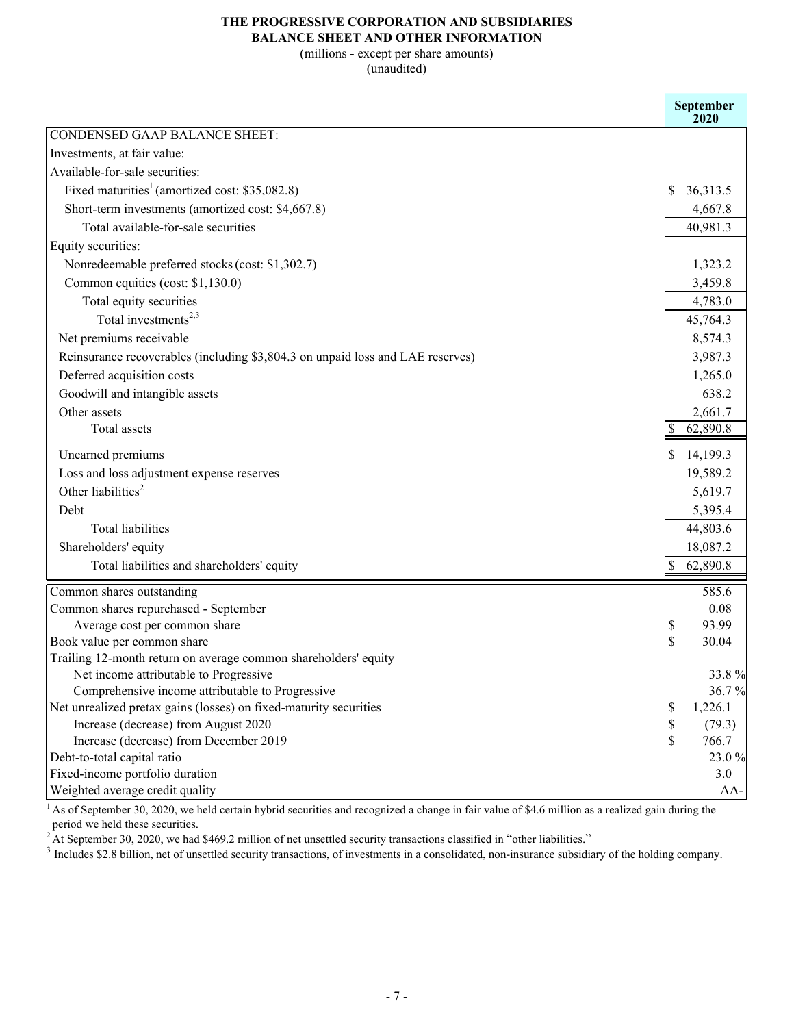# **THE PROGRESSIVE CORPORATION AND SUBSIDIARIES**

## **BALANCE SHEET AND OTHER INFORMATION**

(millions - except per share amounts)

(unaudited)

|                                                                                            | September<br>2020 |
|--------------------------------------------------------------------------------------------|-------------------|
| <b>CONDENSED GAAP BALANCE SHEET:</b>                                                       |                   |
| Investments, at fair value:                                                                |                   |
| Available-for-sale securities:                                                             |                   |
| Fixed maturities <sup>1</sup> (amortized cost: \$35,082.8)                                 | S<br>36,313.5     |
| Short-term investments (amortized cost: \$4,667.8)                                         | 4,667.8           |
| Total available-for-sale securities                                                        | 40,981.3          |
| Equity securities:                                                                         |                   |
| Nonredeemable preferred stocks (cost: \$1,302.7)                                           | 1,323.2           |
| Common equities (cost: \$1,130.0)                                                          | 3,459.8           |
| Total equity securities                                                                    | 4,783.0           |
| Total investments <sup>2,3</sup>                                                           | 45,764.3          |
| Net premiums receivable                                                                    | 8,574.3           |
| Reinsurance recoverables (including \$3,804.3 on unpaid loss and LAE reserves)             | 3,987.3           |
| Deferred acquisition costs                                                                 | 1,265.0           |
| Goodwill and intangible assets                                                             | 638.2             |
| Other assets                                                                               | 2,661.7           |
| Total assets                                                                               | 62,890.8          |
| Unearned premiums                                                                          | \$<br>14,199.3    |
| Loss and loss adjustment expense reserves                                                  | 19,589.2          |
| Other liabilities <sup>2</sup>                                                             | 5,619.7           |
| Debt                                                                                       |                   |
| <b>Total liabilities</b>                                                                   | 5,395.4           |
|                                                                                            | 44,803.6          |
| Shareholders' equity                                                                       | 18,087.2          |
| Total liabilities and shareholders' equity                                                 | \$62,890.8        |
| Common shares outstanding                                                                  | 585.6             |
| Common shares repurchased - September                                                      | 0.08              |
| Average cost per common share                                                              | 93.99<br>\$       |
| Book value per common share                                                                | \$<br>30.04       |
| Trailing 12-month return on average common shareholders' equity                            |                   |
| Net income attributable to Progressive<br>Comprehensive income attributable to Progressive | 33.8%<br>36.7%    |
| Net unrealized pretax gains (losses) on fixed-maturity securities                          | \$<br>1,226.1     |
| Increase (decrease) from August 2020                                                       | \$<br>(79.3)      |
| Increase (decrease) from December 2019                                                     | \$<br>766.7       |
| Debt-to-total capital ratio                                                                | 23.0 %            |
| Fixed-income portfolio duration                                                            | 3.0               |
| Weighted average credit quality                                                            | AA-               |

<sup>1</sup> As of September 30, 2020, we held certain hybrid securities and recognized a change in fair value of \$4.6 million as a realized gain during the period we held these securities.

<sup>2</sup> At September 30, 2020, we had \$469.2 million of net unsettled security transactions classified in "other liabilities."

 $3$  Includes \$2.8 billion, net of unsettled security transactions, of investments in a consolidated, non-insurance subsidiary of the holding company.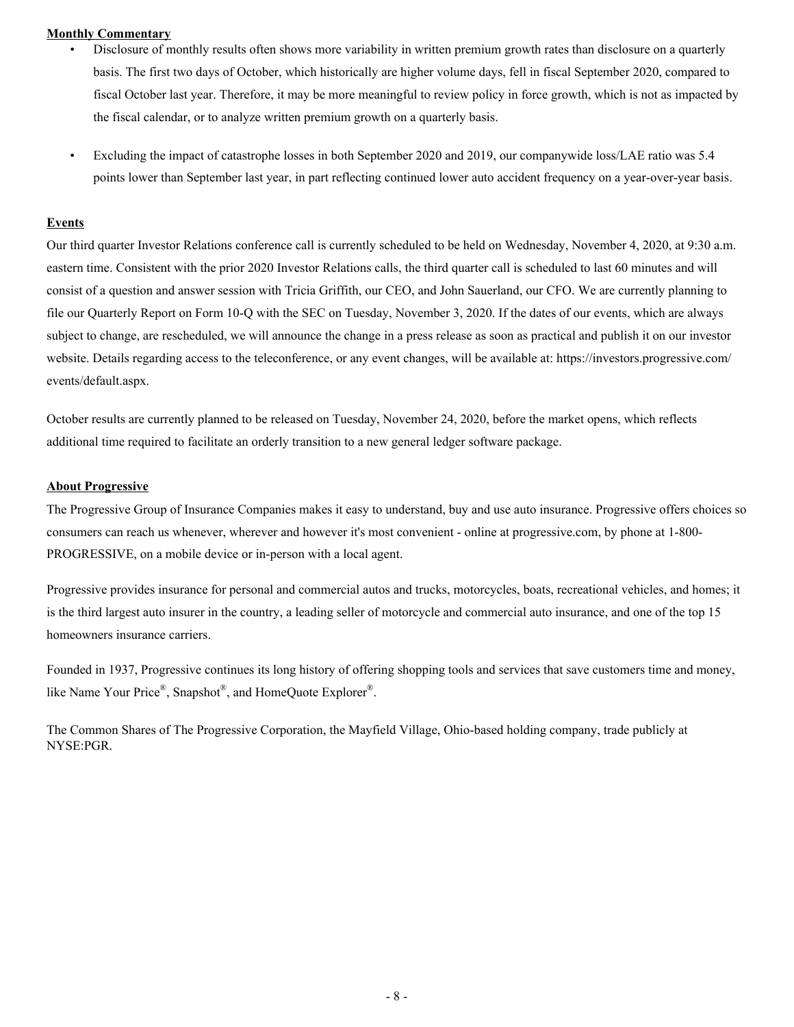#### **Monthly Commentary**

- Disclosure of monthly results often shows more variability in written premium growth rates than disclosure on a quarterly basis. The first two days of October, which historically are higher volume days, fell in fiscal September 2020, compared to fiscal October last year. Therefore, it may be more meaningful to review policy in force growth, which is not as impacted by the fiscal calendar, or to analyze written premium growth on a quarterly basis.
- Excluding the impact of catastrophe losses in both September 2020 and 2019, our companywide loss/LAE ratio was 5.4 points lower than September last year, in part reflecting continued lower auto accident frequency on a year-over-year basis.

#### **Events**

Our third quarter Investor Relations conference call is currently scheduled to be held on Wednesday, November 4, 2020, at 9:30 a.m. eastern time. Consistent with the prior 2020 Investor Relations calls, the third quarter call is scheduled to last 60 minutes and will consist of a question and answer session with Tricia Griffith, our CEO, and John Sauerland, our CFO. We are currently planning to file our Quarterly Report on Form 10-Q with the SEC on Tuesday, November 3, 2020. If the dates of our events, which are always subject to change, are rescheduled, we will announce the change in a press release as soon as practical and publish it on our investor website. Details regarding access to the teleconference, or any event changes, will be available at: https://investors.progressive.com/ events/default.aspx.

October results are currently planned to be released on Tuesday, November 24, 2020, before the market opens, which reflects additional time required to facilitate an orderly transition to a new general ledger software package.

#### **About Progressive**

The Progressive Group of Insurance Companies makes it easy to understand, buy and use auto insurance. Progressive offers choices so consumers can reach us whenever, wherever and however it's most convenient - online at progressive.com, by phone at 1-800- PROGRESSIVE, on a mobile device or in-person with a local agent.

Progressive provides insurance for personal and commercial autos and trucks, motorcycles, boats, recreational vehicles, and homes; it is the third largest auto insurer in the country, a leading seller of motorcycle and commercial auto insurance, and one of the top 15 homeowners insurance carriers.

Founded in 1937, Progressive continues its long history of offering shopping tools and services that save customers time and money, like Name Your Price®, Snapshot®, and HomeQuote Explorer®.

The Common Shares of The Progressive Corporation, the Mayfield Village, Ohio-based holding company, trade publicly at NYSE:PGR.